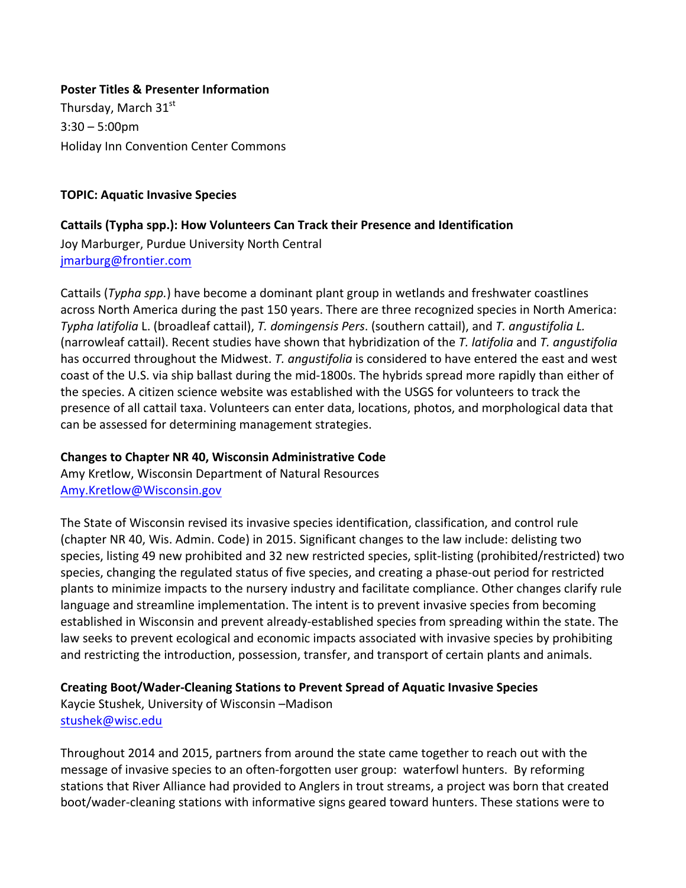#### **Poster Titles & Presenter Information**

Thursday, March  $31<sup>st</sup>$  $3:30 - 5:00$ pm Holiday Inn Convention Center Commons

#### **TOPIC: Aquatic Invasive Species**

#### **Cattails (Typha spp.): How Volunteers Can Track their Presence and Identification**

Joy Marburger, Purdue University North Central jmarburg@frontier.com

Cattails (*Typha spp.*) have become a dominant plant group in wetlands and freshwater coastlines across North America during the past 150 years. There are three recognized species in North America: *Typha latifolia* L. (broadleaf cattail), *T. domingensis Pers.* (southern cattail), and *T. angustifolia L.* (narrowleaf cattail). Recent studies have shown that hybridization of the T. *latifolia* and T. angustifolia has occurred throughout the Midwest. *T. angustifolia* is considered to have entered the east and west coast of the U.S. via ship ballast during the mid-1800s. The hybrids spread more rapidly than either of the species. A citizen science website was established with the USGS for volunteers to track the presence of all cattail taxa. Volunteers can enter data, locations, photos, and morphological data that can be assessed for determining management strategies.

## **Changes to Chapter NR 40, Wisconsin Administrative Code**

Amy Kretlow, Wisconsin Department of Natural Resources Amy.Kretlow@Wisconsin.gov

The State of Wisconsin revised its invasive species identification, classification, and control rule (chapter NR 40, Wis. Admin. Code) in 2015. Significant changes to the law include: delisting two species, listing 49 new prohibited and 32 new restricted species, split-listing (prohibited/restricted) two species, changing the regulated status of five species, and creating a phase-out period for restricted plants to minimize impacts to the nursery industry and facilitate compliance. Other changes clarify rule language and streamline implementation. The intent is to prevent invasive species from becoming established in Wisconsin and prevent already-established species from spreading within the state. The law seeks to prevent ecological and economic impacts associated with invasive species by prohibiting and restricting the introduction, possession, transfer, and transport of certain plants and animals.

## **Creating Boot/Wader-Cleaning Stations to Prevent Spread of Aquatic Invasive Species**

Kaycie Stushek, University of Wisconsin –Madison stushek@wisc.edu

Throughout 2014 and 2015, partners from around the state came together to reach out with the message of invasive species to an often-forgotten user group: waterfowl hunters. By reforming stations that River Alliance had provided to Anglers in trout streams, a project was born that created boot/wader-cleaning stations with informative signs geared toward hunters. These stations were to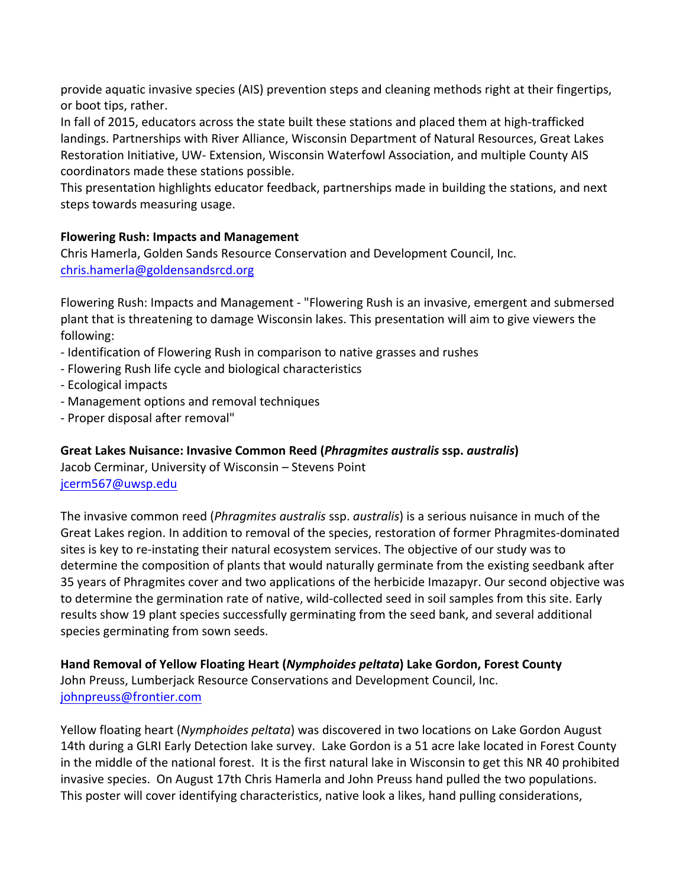provide aquatic invasive species (AIS) prevention steps and cleaning methods right at their fingertips, or boot tips, rather.

In fall of 2015, educators across the state built these stations and placed them at high-trafficked landings. Partnerships with River Alliance, Wisconsin Department of Natural Resources, Great Lakes Restoration Initiative, UW- Extension, Wisconsin Waterfowl Association, and multiple County AIS coordinators made these stations possible.

This presentation highlights educator feedback, partnerships made in building the stations, and next steps towards measuring usage.

## **Flowering Rush: Impacts and Management**

Chris Hamerla, Golden Sands Resource Conservation and Development Council, Inc. chris.hamerla@goldensandsrcd.org

Flowering Rush: Impacts and Management - "Flowering Rush is an invasive, emergent and submersed plant that is threatening to damage Wisconsin lakes. This presentation will aim to give viewers the following:

- Identification of Flowering Rush in comparison to native grasses and rushes
- Flowering Rush life cycle and biological characteristics
- Ecological impacts
- Management options and removal techniques
- Proper disposal after removal"

Great Lakes Nuisance: Invasive Common Reed (*Phragmites australis* ssp. *australis*)

Jacob Cerminar, University of Wisconsin – Stevens Point jcerm567@uwsp.edu

The invasive common reed (*Phragmites australis* ssp. *australis*) is a serious nuisance in much of the Great Lakes region. In addition to removal of the species, restoration of former Phragmites-dominated sites is key to re-instating their natural ecosystem services. The objective of our study was to determine the composition of plants that would naturally germinate from the existing seedbank after 35 years of Phragmites cover and two applications of the herbicide Imazapyr. Our second objective was to determine the germination rate of native, wild-collected seed in soil samples from this site. Early results show 19 plant species successfully germinating from the seed bank, and several additional species germinating from sown seeds.

Hand Removal of Yellow Floating Heart (*Nymphoides peltata*) Lake Gordon, Forest County John Preuss, Lumberjack Resource Conservations and Development Council, Inc. johnpreuss@frontier.com

Yellow floating heart (*Nymphoides peltata*) was discovered in two locations on Lake Gordon August 14th during a GLRI Early Detection lake survey. Lake Gordon is a 51 acre lake located in Forest County in the middle of the national forest. It is the first natural lake in Wisconsin to get this NR 40 prohibited invasive species. On August 17th Chris Hamerla and John Preuss hand pulled the two populations. This poster will cover identifying characteristics, native look a likes, hand pulling considerations,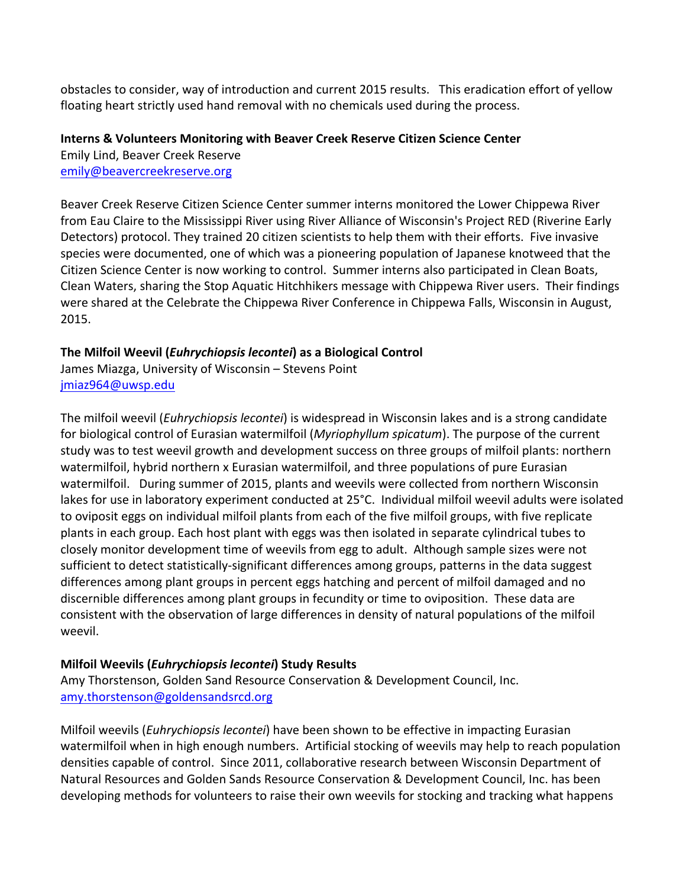obstacles to consider, way of introduction and current 2015 results. This eradication effort of yellow floating heart strictly used hand removal with no chemicals used during the process.

## **Interns & Volunteers Monitoring with Beaver Creek Reserve Citizen Science Center**

Emily Lind, Beaver Creek Reserve emily@beavercreekreserve.org

Beaver Creek Reserve Citizen Science Center summer interns monitored the Lower Chippewa River from Eau Claire to the Mississippi River using River Alliance of Wisconsin's Project RED (Riverine Early Detectors) protocol. They trained 20 citizen scientists to help them with their efforts. Five invasive species were documented, one of which was a pioneering population of Japanese knotweed that the Citizen Science Center is now working to control. Summer interns also participated in Clean Boats, Clean Waters, sharing the Stop Aquatic Hitchhikers message with Chippewa River users. Their findings were shared at the Celebrate the Chippewa River Conference in Chippewa Falls, Wisconsin in August, 2015. 

## **The Milfoil Weevil (***Euhrychiopsis lecontei***) as a Biological Control**

James Miazga, University of Wisconsin - Stevens Point jmiaz964@uwsp.edu

The milfoil weevil (*Euhrychiopsis lecontei*) is widespread in Wisconsin lakes and is a strong candidate for biological control of Eurasian watermilfoil (*Myriophyllum spicatum*). The purpose of the current study was to test weevil growth and development success on three groups of milfoil plants: northern watermilfoil, hybrid northern x Eurasian watermilfoil, and three populations of pure Eurasian watermilfoil. During summer of 2015, plants and weevils were collected from northern Wisconsin lakes for use in laboratory experiment conducted at 25°C. Individual milfoil weevil adults were isolated to oviposit eggs on individual milfoil plants from each of the five milfoil groups, with five replicate plants in each group. Each host plant with eggs was then isolated in separate cylindrical tubes to closely monitor development time of weevils from egg to adult. Although sample sizes were not sufficient to detect statistically-significant differences among groups, patterns in the data suggest differences among plant groups in percent eggs hatching and percent of milfoil damaged and no discernible differences among plant groups in fecundity or time to oviposition. These data are consistent with the observation of large differences in density of natural populations of the milfoil weevil.

## **Milfoil Weevils (***Euhrychiopsis lecontei***) Study Results**

Amy Thorstenson, Golden Sand Resource Conservation & Development Council, Inc. amy.thorstenson@goldensandsrcd.org

Milfoil weevils (*Euhrychiopsis lecontei*) have been shown to be effective in impacting Eurasian watermilfoil when in high enough numbers. Artificial stocking of weevils may help to reach population densities capable of control. Since 2011, collaborative research between Wisconsin Department of Natural Resources and Golden Sands Resource Conservation & Development Council, Inc. has been developing methods for volunteers to raise their own weevils for stocking and tracking what happens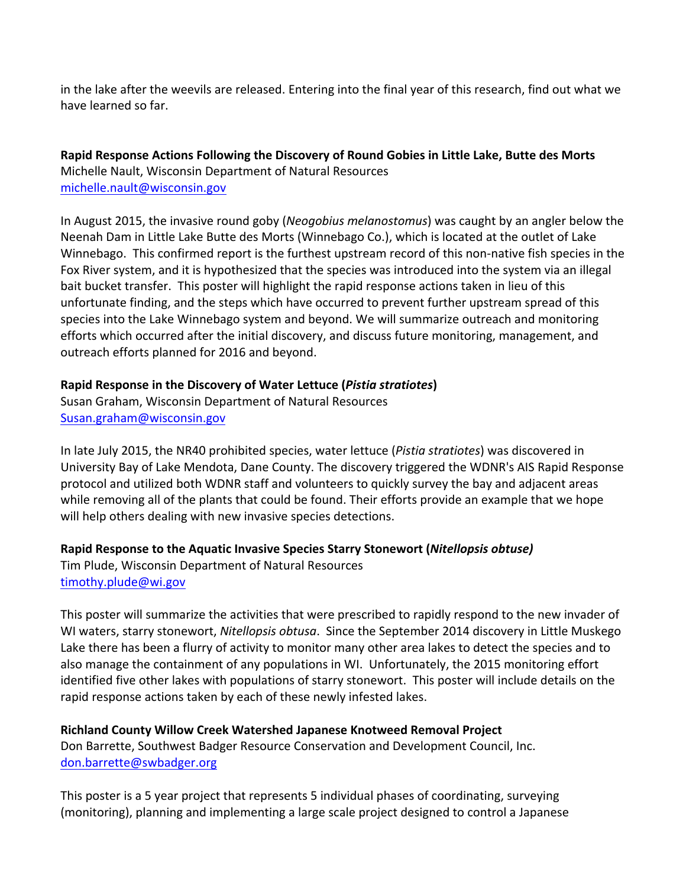in the lake after the weevils are released. Entering into the final year of this research, find out what we have learned so far.

**Rapid Response Actions Following the Discovery of Round Gobies in Little Lake, Butte des Morts** Michelle Nault, Wisconsin Department of Natural Resources michelle.nault@wisconsin.gov

In August 2015, the invasive round goby (*Neogobius melanostomus*) was caught by an angler below the Neenah Dam in Little Lake Butte des Morts (Winnebago Co.), which is located at the outlet of Lake Winnebago. This confirmed report is the furthest upstream record of this non-native fish species in the Fox River system, and it is hypothesized that the species was introduced into the system via an illegal bait bucket transfer. This poster will highlight the rapid response actions taken in lieu of this unfortunate finding, and the steps which have occurred to prevent further upstream spread of this species into the Lake Winnebago system and beyond. We will summarize outreach and monitoring efforts which occurred after the initial discovery, and discuss future monitoring, management, and outreach efforts planned for 2016 and beyond.

## **Rapid Response in the Discovery of Water Lettuce (***Pistia stratiotes***)**

Susan Graham, Wisconsin Department of Natural Resources Susan.graham@wisconsin.gov

In late July 2015, the NR40 prohibited species, water lettuce (*Pistia stratiotes*) was discovered in University Bay of Lake Mendota, Dane County. The discovery triggered the WDNR's AIS Rapid Response protocol and utilized both WDNR staff and volunteers to quickly survey the bay and adjacent areas while removing all of the plants that could be found. Their efforts provide an example that we hope will help others dealing with new invasive species detections.

**Rapid Response to the Aquatic Invasive Species Starry Stonewort (Nitellopsis obtuse)** Tim Plude, Wisconsin Department of Natural Resources timothy.plude@wi.gov

This poster will summarize the activities that were prescribed to rapidly respond to the new invader of WI waters, starry stonewort, *Nitellopsis obtusa*. Since the September 2014 discovery in Little Muskego Lake there has been a flurry of activity to monitor many other area lakes to detect the species and to also manage the containment of any populations in WI. Unfortunately, the 2015 monitoring effort identified five other lakes with populations of starry stonewort. This poster will include details on the rapid response actions taken by each of these newly infested lakes.

**Richland County Willow Creek Watershed Japanese Knotweed Removal Project** Don Barrette, Southwest Badger Resource Conservation and Development Council, Inc. don.barrette@swbadger.org

This poster is a 5 year project that represents 5 individual phases of coordinating, surveying (monitoring), planning and implementing a large scale project designed to control a Japanese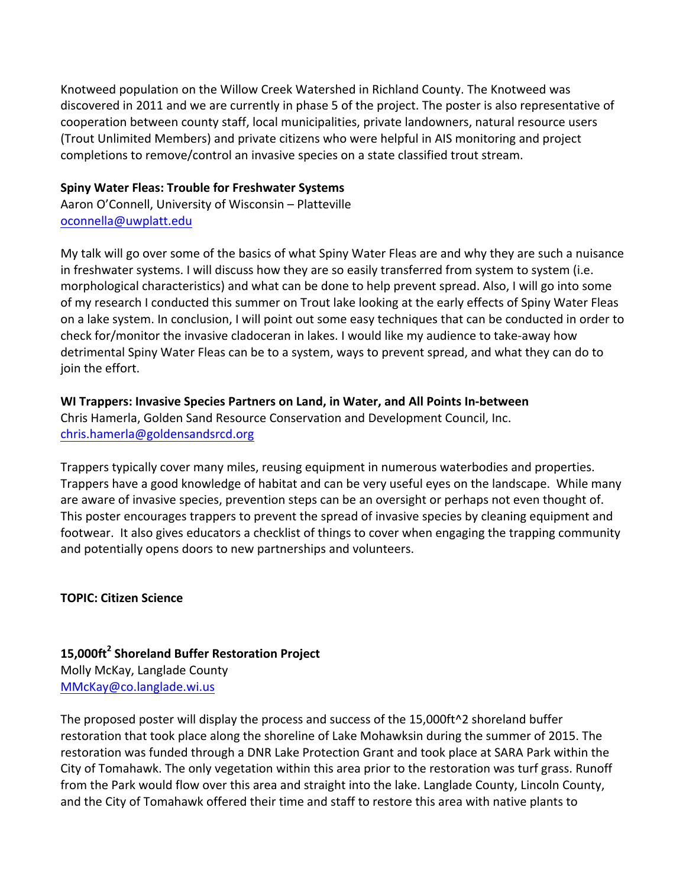Knotweed population on the Willow Creek Watershed in Richland County. The Knotweed was discovered in 2011 and we are currently in phase 5 of the project. The poster is also representative of cooperation between county staff, local municipalities, private landowners, natural resource users (Trout Unlimited Members) and private citizens who were helpful in AIS monitoring and project completions to remove/control an invasive species on a state classified trout stream.

#### **Spiny Water Fleas: Trouble for Freshwater Systems**

Aaron O'Connell, University of Wisconsin - Platteville oconnella@uwplatt.edu

My talk will go over some of the basics of what Spiny Water Fleas are and why they are such a nuisance in freshwater systems. I will discuss how they are so easily transferred from system to system (i.e. morphological characteristics) and what can be done to help prevent spread. Also, I will go into some of my research I conducted this summer on Trout lake looking at the early effects of Spiny Water Fleas on a lake system. In conclusion, I will point out some easy techniques that can be conducted in order to check for/monitor the invasive cladoceran in lakes. I would like my audience to take-away how detrimental Spiny Water Fleas can be to a system, ways to prevent spread, and what they can do to join the effort.

## WI Trappers: Invasive Species Partners on Land, in Water, and All Points In-between

Chris Hamerla, Golden Sand Resource Conservation and Development Council, Inc. chris.hamerla@goldensandsrcd.org

Trappers typically cover many miles, reusing equipment in numerous waterbodies and properties. Trappers have a good knowledge of habitat and can be very useful eyes on the landscape. While many are aware of invasive species, prevention steps can be an oversight or perhaps not even thought of. This poster encourages trappers to prevent the spread of invasive species by cleaning equipment and footwear. It also gives educators a checklist of things to cover when engaging the trapping community and potentially opens doors to new partnerships and volunteers.

## **TOPIC: Citizen Science**

**15,000ft<sup>2</sup> Shoreland Buffer Restoration Project** Molly McKay, Langlade County MMcKay@co.langlade.wi.us

The proposed poster will display the process and success of the  $15,000$ ft<sup> $\wedge$ 2</sup> shoreland buffer restoration that took place along the shoreline of Lake Mohawksin during the summer of 2015. The restoration was funded through a DNR Lake Protection Grant and took place at SARA Park within the City of Tomahawk. The only vegetation within this area prior to the restoration was turf grass. Runoff from the Park would flow over this area and straight into the lake. Langlade County, Lincoln County, and the City of Tomahawk offered their time and staff to restore this area with native plants to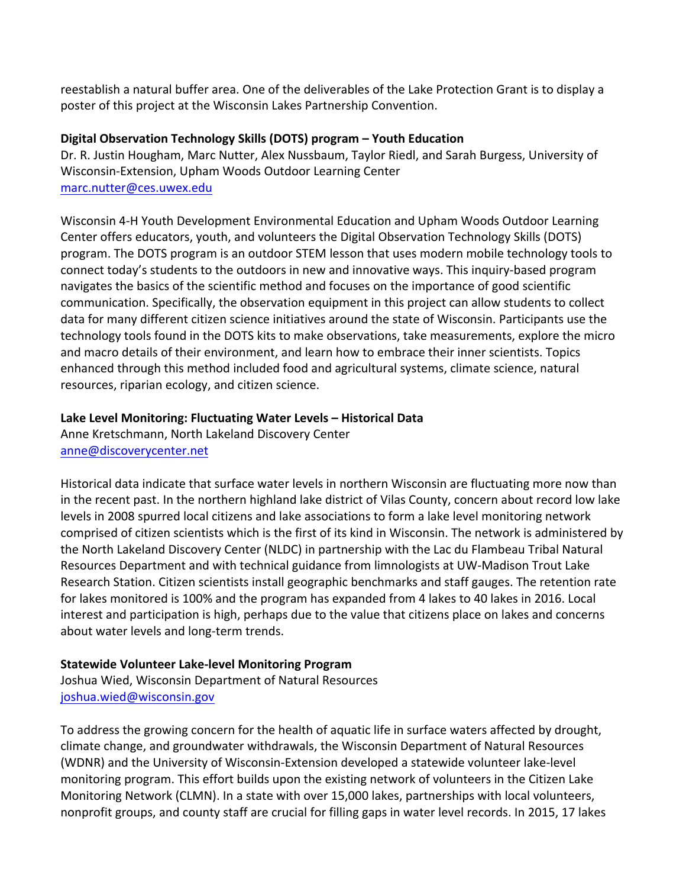reestablish a natural buffer area. One of the deliverables of the Lake Protection Grant is to display a poster of this project at the Wisconsin Lakes Partnership Convention.

#### **Digital Observation Technology Skills (DOTS) program – Youth Education**

Dr. R. Justin Hougham, Marc Nutter, Alex Nussbaum, Taylor Riedl, and Sarah Burgess, University of Wisconsin-Extension, Upham Woods Outdoor Learning Center marc.nutter@ces.uwex.edu

Wisconsin 4-H Youth Development Environmental Education and Upham Woods Outdoor Learning Center offers educators, youth, and volunteers the Digital Observation Technology Skills (DOTS) program. The DOTS program is an outdoor STEM lesson that uses modern mobile technology tools to connect today's students to the outdoors in new and innovative ways. This inquiry-based program navigates the basics of the scientific method and focuses on the importance of good scientific communication. Specifically, the observation equipment in this project can allow students to collect data for many different citizen science initiatives around the state of Wisconsin. Participants use the technology tools found in the DOTS kits to make observations, take measurements, explore the micro and macro details of their environment, and learn how to embrace their inner scientists. Topics enhanced through this method included food and agricultural systems, climate science, natural resources, riparian ecology, and citizen science.

## Lake Level Monitoring: Fluctuating Water Levels - Historical Data

Anne Kretschmann, North Lakeland Discovery Center anne@discoverycenter.net

Historical data indicate that surface water levels in northern Wisconsin are fluctuating more now than in the recent past. In the northern highland lake district of Vilas County, concern about record low lake levels in 2008 spurred local citizens and lake associations to form a lake level monitoring network comprised of citizen scientists which is the first of its kind in Wisconsin. The network is administered by the North Lakeland Discovery Center (NLDC) in partnership with the Lac du Flambeau Tribal Natural Resources Department and with technical guidance from limnologists at UW-Madison Trout Lake Research Station. Citizen scientists install geographic benchmarks and staff gauges. The retention rate for lakes monitored is 100% and the program has expanded from 4 lakes to 40 lakes in 2016. Local interest and participation is high, perhaps due to the value that citizens place on lakes and concerns about water levels and long-term trends.

## **Statewide Volunteer Lake-level Monitoring Program**

Joshua Wied, Wisconsin Department of Natural Resources joshua.wied@wisconsin.gov

To address the growing concern for the health of aquatic life in surface waters affected by drought, climate change, and groundwater withdrawals, the Wisconsin Department of Natural Resources (WDNR) and the University of Wisconsin-Extension developed a statewide volunteer lake-level monitoring program. This effort builds upon the existing network of volunteers in the Citizen Lake Monitoring Network (CLMN). In a state with over 15,000 lakes, partnerships with local volunteers, nonprofit groups, and county staff are crucial for filling gaps in water level records. In 2015, 17 lakes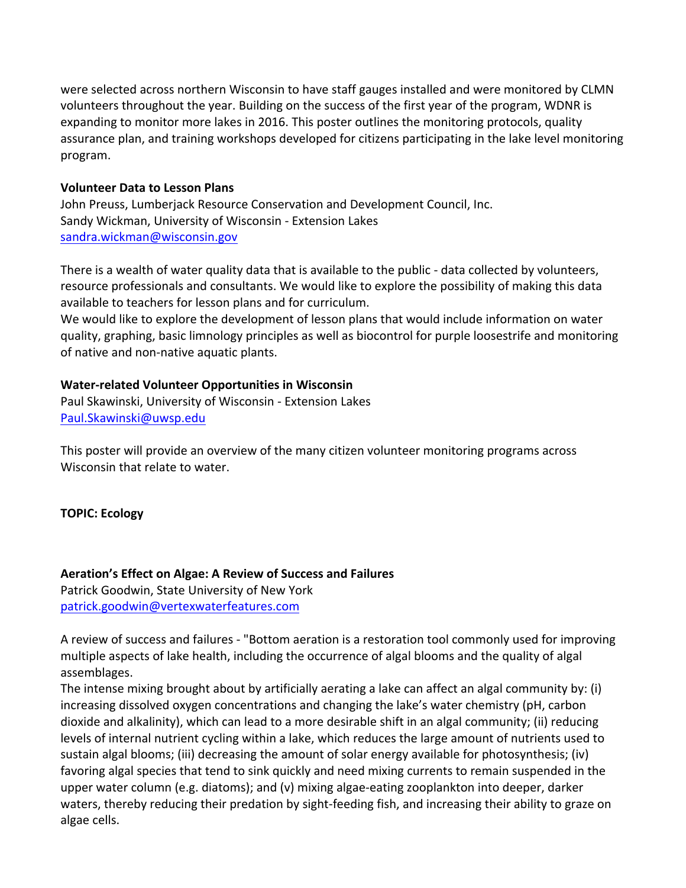were selected across northern Wisconsin to have staff gauges installed and were monitored by CLMN volunteers throughout the year. Building on the success of the first year of the program, WDNR is expanding to monitor more lakes in 2016. This poster outlines the monitoring protocols, quality assurance plan, and training workshops developed for citizens participating in the lake level monitoring program.

#### **Volunteer Data to Lesson Plans**

John Preuss, Lumberjack Resource Conservation and Development Council, Inc. Sandy Wickman, University of Wisconsin - Extension Lakes sandra.wickman@wisconsin.gov

There is a wealth of water quality data that is available to the public - data collected by volunteers, resource professionals and consultants. We would like to explore the possibility of making this data available to teachers for lesson plans and for curriculum.

We would like to explore the development of lesson plans that would include information on water quality, graphing, basic limnology principles as well as biocontrol for purple loosestrife and monitoring of native and non-native aquatic plants.

## **Water-related Volunteer Opportunities in Wisconsin**

Paul Skawinski, University of Wisconsin - Extension Lakes Paul.Skawinski@uwsp.edu

This poster will provide an overview of the many citizen volunteer monitoring programs across Wisconsin that relate to water.

**TOPIC: Ecology** 

Aeration's Effect on Algae: A Review of Success and Failures Patrick Goodwin, State University of New York

patrick.goodwin@vertexwaterfeatures.com

A review of success and failures - "Bottom aeration is a restoration tool commonly used for improving multiple aspects of lake health, including the occurrence of algal blooms and the quality of algal assemblages.

The intense mixing brought about by artificially aerating a lake can affect an algal community by: (i) increasing dissolved oxygen concentrations and changing the lake's water chemistry (pH, carbon dioxide and alkalinity), which can lead to a more desirable shift in an algal community; (ii) reducing levels of internal nutrient cycling within a lake, which reduces the large amount of nutrients used to sustain algal blooms; (iii) decreasing the amount of solar energy available for photosynthesis; (iv) favoring algal species that tend to sink quickly and need mixing currents to remain suspended in the upper water column (e.g. diatoms); and (v) mixing algae-eating zooplankton into deeper, darker waters, thereby reducing their predation by sight-feeding fish, and increasing their ability to graze on algae cells.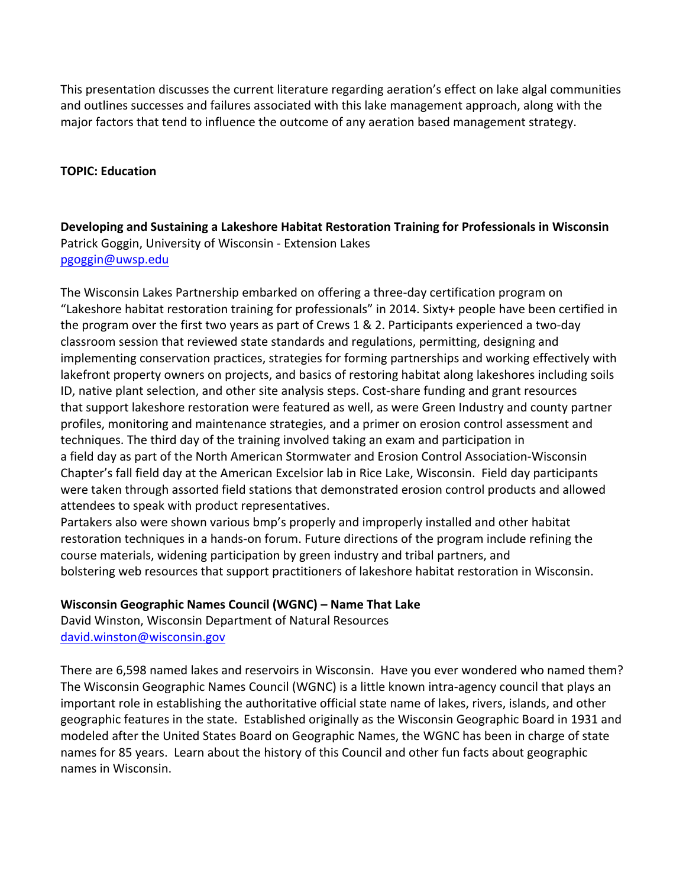This presentation discusses the current literature regarding aeration's effect on lake algal communities and outlines successes and failures associated with this lake management approach, along with the major factors that tend to influence the outcome of any aeration based management strategy.

#### **TOPIC: Education**

Developing and Sustaining a Lakeshore Habitat Restoration Training for Professionals in Wisconsin Patrick Goggin, University of Wisconsin - Extension Lakes pgoggin@uwsp.edu

The Wisconsin Lakes Partnership embarked on offering a three-day certification program on "Lakeshore habitat restoration training for professionals" in 2014. Sixty+ people have been certified in the program over the first two years as part of Crews 1 & 2. Participants experienced a two-day classroom session that reviewed state standards and regulations, permitting, designing and implementing conservation practices, strategies for forming partnerships and working effectively with lakefront property owners on projects, and basics of restoring habitat along lakeshores including soils ID, native plant selection, and other site analysis steps. Cost-share funding and grant resources that support lakeshore restoration were featured as well, as were Green Industry and county partner profiles, monitoring and maintenance strategies, and a primer on erosion control assessment and techniques. The third day of the training involved taking an exam and participation in a field day as part of the North American Stormwater and Erosion Control Association-Wisconsin Chapter's fall field day at the American Excelsior lab in Rice Lake, Wisconsin. Field day participants were taken through assorted field stations that demonstrated erosion control products and allowed attendees to speak with product representatives.

Partakers also were shown various bmp's properly and improperly installed and other habitat restoration techniques in a hands-on forum. Future directions of the program include refining the course materials, widening participation by green industry and tribal partners, and bolstering web resources that support practitioners of lakeshore habitat restoration in Wisconsin.

#### **Wisconsin Geographic Names Council (WGNC) – Name That Lake**

David Winston, Wisconsin Department of Natural Resources david.winston@wisconsin.gov

There are 6,598 named lakes and reservoirs in Wisconsin. Have you ever wondered who named them? The Wisconsin Geographic Names Council (WGNC) is a little known intra-agency council that plays an important role in establishing the authoritative official state name of lakes, rivers, islands, and other geographic features in the state. Established originally as the Wisconsin Geographic Board in 1931 and modeled after the United States Board on Geographic Names, the WGNC has been in charge of state names for 85 years. Learn about the history of this Council and other fun facts about geographic names in Wisconsin.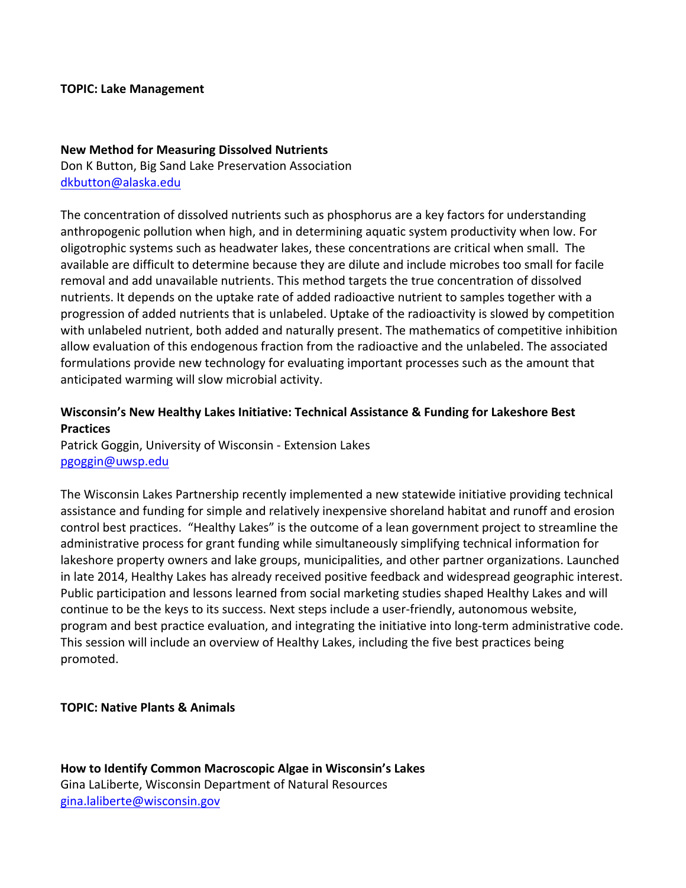#### **TOPIC: Lake Management**

#### **New Method for Measuring Dissolved Nutrients**

Don K Button, Big Sand Lake Preservation Association dkbutton@alaska.edu

The concentration of dissolved nutrients such as phosphorus are a key factors for understanding anthropogenic pollution when high, and in determining aquatic system productivity when low. For oligotrophic systems such as headwater lakes, these concentrations are critical when small. The available are difficult to determine because they are dilute and include microbes too small for facile removal and add unavailable nutrients. This method targets the true concentration of dissolved nutrients. It depends on the uptake rate of added radioactive nutrient to samples together with a progression of added nutrients that is unlabeled. Uptake of the radioactivity is slowed by competition with unlabeled nutrient, both added and naturally present. The mathematics of competitive inhibition allow evaluation of this endogenous fraction from the radioactive and the unlabeled. The associated formulations provide new technology for evaluating important processes such as the amount that anticipated warming will slow microbial activity.

## Wisconsin's New Healthy Lakes Initiative: Technical Assistance & Funding for Lakeshore Best **Practices**

Patrick Goggin, University of Wisconsin - Extension Lakes pgoggin@uwsp.edu

The Wisconsin Lakes Partnership recently implemented a new statewide initiative providing technical assistance and funding for simple and relatively inexpensive shoreland habitat and runoff and erosion control best practices. "Healthy Lakes" is the outcome of a lean government project to streamline the administrative process for grant funding while simultaneously simplifying technical information for lakeshore property owners and lake groups, municipalities, and other partner organizations. Launched in late 2014, Healthy Lakes has already received positive feedback and widespread geographic interest. Public participation and lessons learned from social marketing studies shaped Healthy Lakes and will continue to be the keys to its success. Next steps include a user-friendly, autonomous website, program and best practice evaluation, and integrating the initiative into long-term administrative code. This session will include an overview of Healthy Lakes, including the five best practices being promoted.

#### **TOPIC: Native Plants & Animals**

How to Identify Common Macroscopic Algae in Wisconsin's Lakes Gina LaLiberte, Wisconsin Department of Natural Resources gina.laliberte@wisconsin.gov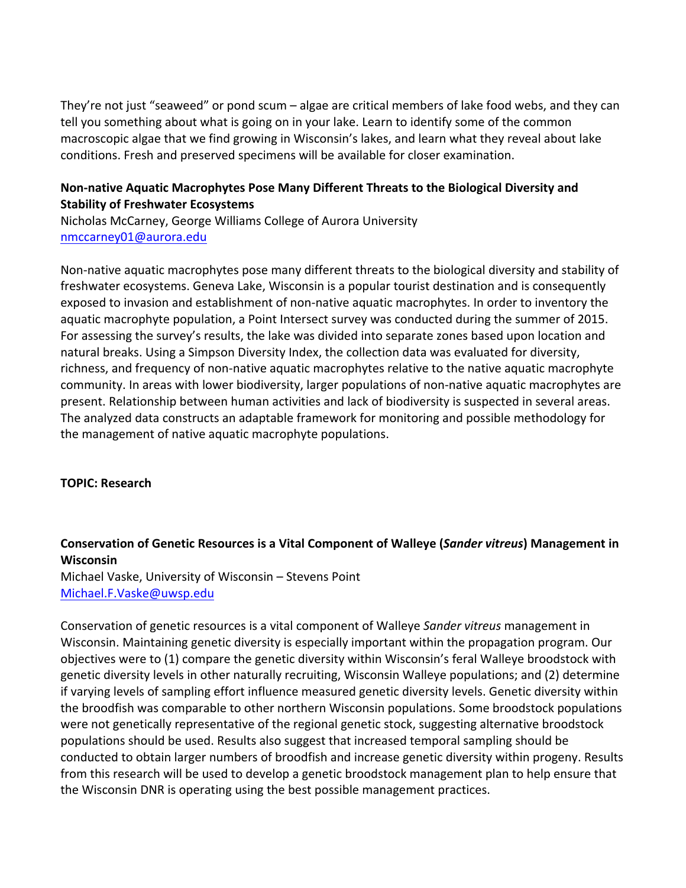They're not just "seaweed" or pond scum – algae are critical members of lake food webs, and they can tell you something about what is going on in your lake. Learn to identify some of the common macroscopic algae that we find growing in Wisconsin's lakes, and learn what they reveal about lake conditions. Fresh and preserved specimens will be available for closer examination.

## Non-native Aquatic Macrophytes Pose Many Different Threats to the Biological Diversity and **Stability of Freshwater Ecosystems**

Nicholas McCarney, George Williams College of Aurora University nmccarney01@aurora.edu

Non-native aquatic macrophytes pose many different threats to the biological diversity and stability of freshwater ecosystems. Geneva Lake, Wisconsin is a popular tourist destination and is consequently exposed to invasion and establishment of non-native aquatic macrophytes. In order to inventory the aquatic macrophyte population, a Point Intersect survey was conducted during the summer of 2015. For assessing the survey's results, the lake was divided into separate zones based upon location and natural breaks. Using a Simpson Diversity Index, the collection data was evaluated for diversity, richness, and frequency of non-native aquatic macrophytes relative to the native aquatic macrophyte community. In areas with lower biodiversity, larger populations of non-native aquatic macrophytes are present. Relationship between human activities and lack of biodiversity is suspected in several areas. The analyzed data constructs an adaptable framework for monitoring and possible methodology for the management of native aquatic macrophyte populations.

## **TOPIC: Research**

## **Conservation of Genetic Resources is a Vital Component of Walleye (***Sander vitreus***) Management in Wisconsin**

Michael Vaske, University of Wisconsin - Stevens Point Michael.F.Vaske@uwsp.edu

Conservation of genetic resources is a vital component of Walleye *Sander vitreus* management in Wisconsin. Maintaining genetic diversity is especially important within the propagation program. Our objectives were to (1) compare the genetic diversity within Wisconsin's feral Walleye broodstock with genetic diversity levels in other naturally recruiting, Wisconsin Walleye populations; and (2) determine if varying levels of sampling effort influence measured genetic diversity levels. Genetic diversity within the broodfish was comparable to other northern Wisconsin populations. Some broodstock populations were not genetically representative of the regional genetic stock, suggesting alternative broodstock populations should be used. Results also suggest that increased temporal sampling should be conducted to obtain larger numbers of broodfish and increase genetic diversity within progeny. Results from this research will be used to develop a genetic broodstock management plan to help ensure that the Wisconsin DNR is operating using the best possible management practices.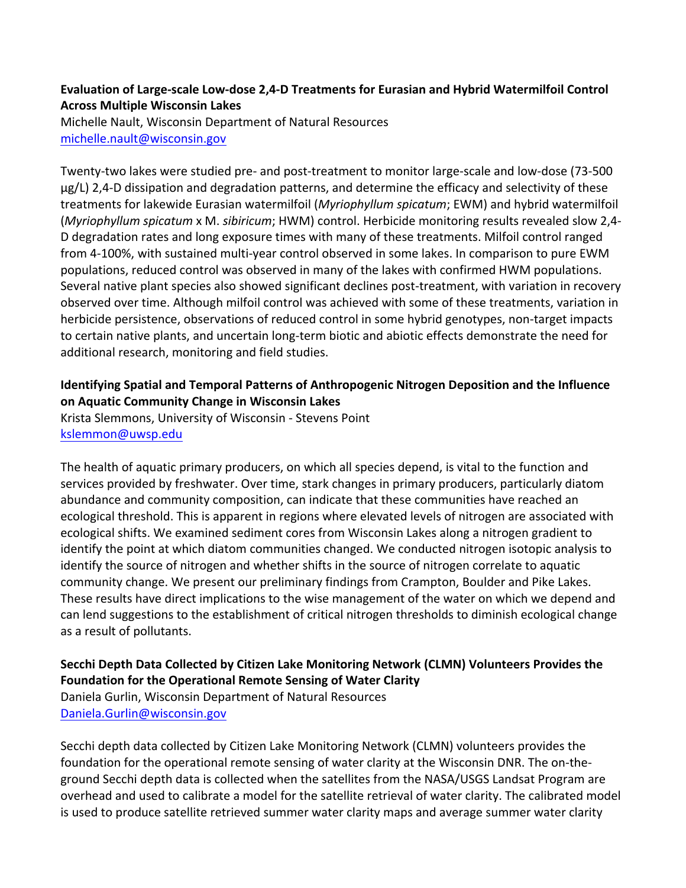## Evaluation of Large-scale Low-dose 2,4-D Treatments for Eurasian and Hybrid Watermilfoil Control **Across Multiple Wisconsin Lakes**

Michelle Nault, Wisconsin Department of Natural Resources michelle.nault@wisconsin.gov

Twenty-two lakes were studied pre- and post-treatment to monitor large-scale and low-dose (73-500  $\mu$ g/L) 2,4-D dissipation and degradation patterns, and determine the efficacy and selectivity of these treatments for lakewide Eurasian watermilfoil (*Myriophyllum spicatum*; EWM) and hybrid watermilfoil (*Myriophyllum spicatum* x M. *sibiricum*; HWM) control. Herbicide monitoring results revealed slow 2,4-D degradation rates and long exposure times with many of these treatments. Milfoil control ranged from 4-100%, with sustained multi-year control observed in some lakes. In comparison to pure EWM populations, reduced control was observed in many of the lakes with confirmed HWM populations. Several native plant species also showed significant declines post-treatment, with variation in recovery observed over time. Although milfoil control was achieved with some of these treatments, variation in herbicide persistence, observations of reduced control in some hybrid genotypes, non-target impacts to certain native plants, and uncertain long-term biotic and abiotic effects demonstrate the need for additional research, monitoring and field studies.

# **Identifying Spatial and Temporal Patterns of Anthropogenic Nitrogen Deposition and the Influence on Aquatic Community Change in Wisconsin Lakes**

Krista Slemmons, University of Wisconsin - Stevens Point kslemmon@uwsp.edu

The health of aquatic primary producers, on which all species depend, is vital to the function and services provided by freshwater. Over time, stark changes in primary producers, particularly diatom abundance and community composition, can indicate that these communities have reached an ecological threshold. This is apparent in regions where elevated levels of nitrogen are associated with ecological shifts. We examined sediment cores from Wisconsin Lakes along a nitrogen gradient to identify the point at which diatom communities changed. We conducted nitrogen isotopic analysis to identify the source of nitrogen and whether shifts in the source of nitrogen correlate to aquatic community change. We present our preliminary findings from Crampton, Boulder and Pike Lakes. These results have direct implications to the wise management of the water on which we depend and can lend suggestions to the establishment of critical nitrogen thresholds to diminish ecological change as a result of pollutants.

# Secchi Depth Data Collected by Citizen Lake Monitoring Network (CLMN) Volunteers Provides the **Foundation for the Operational Remote Sensing of Water Clarity**

Daniela Gurlin, Wisconsin Department of Natural Resources Daniela.Gurlin@wisconsin.gov

Secchi depth data collected by Citizen Lake Monitoring Network (CLMN) volunteers provides the foundation for the operational remote sensing of water clarity at the Wisconsin DNR. The on-theground Secchi depth data is collected when the satellites from the NASA/USGS Landsat Program are overhead and used to calibrate a model for the satellite retrieval of water clarity. The calibrated model is used to produce satellite retrieved summer water clarity maps and average summer water clarity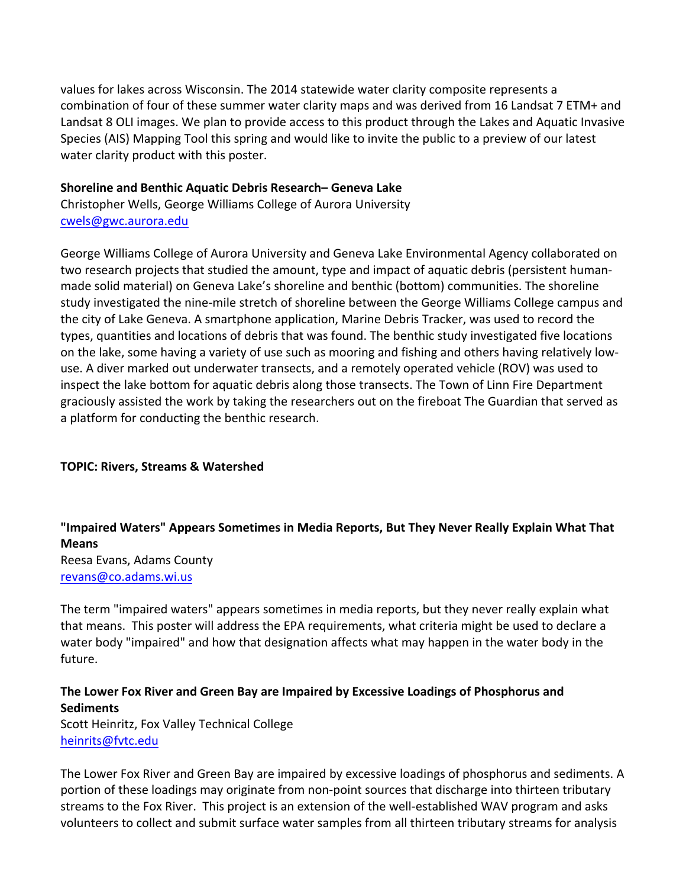values for lakes across Wisconsin. The 2014 statewide water clarity composite represents a combination of four of these summer water clarity maps and was derived from 16 Landsat 7 ETM+ and Landsat 8 OLI images. We plan to provide access to this product through the Lakes and Aquatic Invasive Species (AIS) Mapping Tool this spring and would like to invite the public to a preview of our latest water clarity product with this poster.

#### **Shoreline and Benthic Aquatic Debris Research– Geneva Lake**

Christopher Wells, George Williams College of Aurora University cwels@gwc.aurora.edu

George Williams College of Aurora University and Geneva Lake Environmental Agency collaborated on two research projects that studied the amount, type and impact of aquatic debris (persistent humanmade solid material) on Geneva Lake's shoreline and benthic (bottom) communities. The shoreline study investigated the nine-mile stretch of shoreline between the George Williams College campus and the city of Lake Geneva. A smartphone application, Marine Debris Tracker, was used to record the types, quantities and locations of debris that was found. The benthic study investigated five locations on the lake, some having a variety of use such as mooring and fishing and others having relatively lowuse. A diver marked out underwater transects, and a remotely operated vehicle (ROV) was used to inspect the lake bottom for aquatic debris along those transects. The Town of Linn Fire Department graciously assisted the work by taking the researchers out on the fireboat The Guardian that served as a platform for conducting the benthic research.

## **TOPIC: Rivers, Streams & Watershed**

# **"Impaired Waters" Appears Sometimes in Media Reports, But They Never Really Explain What That Means** Reesa Evans, Adams County revans@co.adams.wi.us

The term "impaired waters" appears sometimes in media reports, but they never really explain what that means. This poster will address the EPA requirements, what criteria might be used to declare a water body "impaired" and how that designation affects what may happen in the water body in the future.

## **The Lower Fox River and Green Bay are Impaired by Excessive Loadings of Phosphorus and Sediments**

Scott Heinritz, Fox Valley Technical College heinrits@fvtc.edu

The Lower Fox River and Green Bay are impaired by excessive loadings of phosphorus and sediments. A portion of these loadings may originate from non-point sources that discharge into thirteen tributary streams to the Fox River. This project is an extension of the well-established WAV program and asks volunteers to collect and submit surface water samples from all thirteen tributary streams for analysis